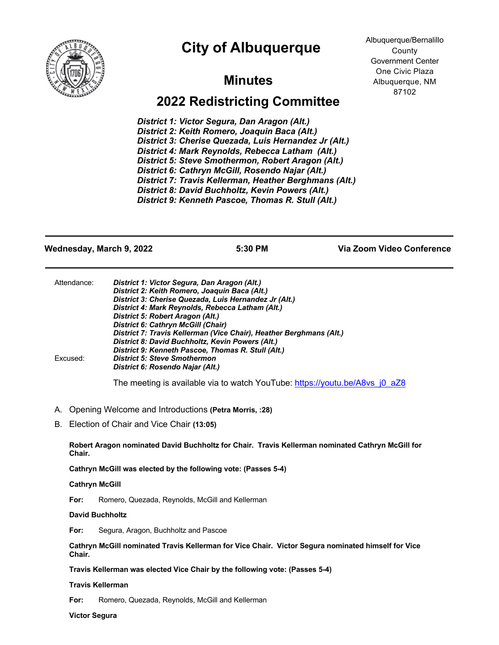



## **Minutes**

# **2022 Redistricting Committee**

*District 1: Victor Segura, Dan Aragon (Alt.) District 2: Keith Romero, Joaquin Baca (Alt.) District 3: Cherise Quezada, Luis Hernandez Jr (Alt.) District 4: Mark Reynolds, Rebecca Latham (Alt.) District 5: Steve Smothermon, Robert Aragon (Alt.) District 6: Cathryn McGill, Rosendo Najar (Alt.) District 7: Travis Kellerman, Heather Berghmans (Alt.) District 8: David Buchholtz, Kevin Powers (Alt.) District 9: Kenneth Pascoe, Thomas R. Stull (Alt.)*

Albuquerque/Bernalillo County Government Center One Civic Plaza Albuquerque, NM 87102

**Wednesday, March 9, 2022 5:30 PM Via Zoom Video Conference** Attendance: *District 1: Victor Segura, Dan Aragon (Alt.) District 2: Keith Romero, Joaquin Baca (Alt.) District 3: Cherise Quezada, Luis Hernandez Jr (Alt.) District 4: Mark Reynolds, Rebecca Latham (Alt.) District 5: Robert Aragon (Alt.) District 6: Cathryn McGill (Chair) District 7: Travis Kellerman (Vice Chair), Heather Berghmans (Alt.) District 8: David Buchholtz, Kevin Powers (Alt.) District 9: Kenneth Pascoe, Thomas R. Stull (Alt.)* Excused: *District 5: Steve Smothermon District 6: Rosendo Najar (Alt.)* The meeting is available via to watch YouTube: https://youtu.be/A8vs\_j0\_aZ8

- A. Opening Welcome and Introductions **(Petra Morris, :28)**
- B. Election of Chair and Vice Chair **(13:05)**

**Robert Aragon nominated David Buchholtz for Chair. Travis Kellerman nominated Cathryn McGill for Chair.**

**Cathryn McGill was elected by the following vote: (Passes 5-4)**

#### **Cathryn McGill**

**For:** Romero, Quezada, Reynolds, McGill and Kellerman

### **David Buchholtz**

**For:** Segura, Aragon, Buchholtz and Pascoe

**Cathryn McGill nominated Travis Kellerman for Vice Chair. Victor Segura nominated himself for Vice Chair.**

**Travis Kellerman was elected Vice Chair by the following vote: (Passes 5-4)**

#### **Travis Kellerman**

**For:** Romero, Quezada, Reynolds, McGill and Kellerman